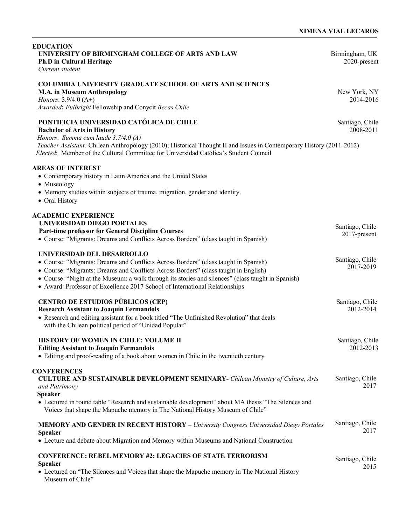j

| <b>EDUCATION</b><br>UNIVERSITY OF BIRMINGHAM COLLEGE OF ARTS AND LAW<br><b>Ph.D in Cultural Heritage</b><br>Current student                                                                                                                                                                                                                                                                   | Birmingham, UK<br>2020-present  |
|-----------------------------------------------------------------------------------------------------------------------------------------------------------------------------------------------------------------------------------------------------------------------------------------------------------------------------------------------------------------------------------------------|---------------------------------|
| <b>COLUMBIA UNIVERSITY GRADUATE SCHOOL OF ARTS AND SCIENCES</b><br><b>M.A. in Museum Anthropology</b><br>Honors: 3.9/4.0 (A+)<br>Awarded: Fulbright Fellowship and Conycit Becas Chile                                                                                                                                                                                                        | New York, NY<br>2014-2016       |
| PONTIFICIA UNIVERSIDAD CATÓLICA DE CHILE<br><b>Bachelor of Arts in History</b><br>Honors: Summa cum laude 3.7/4.0 (A)<br>Teacher Assistant: Chilean Anthropology (2010); Historical Thought II and Issues in Contemporary History (2011-2012)<br>Elected: Member of the Cultural Committee for Universidad Católica's Student Council                                                         | Santiago, Chile<br>2008-2011    |
| <b>AREAS OF INTEREST</b><br>• Contemporary history in Latin America and the United States<br>• Museology<br>• Memory studies within subjects of trauma, migration, gender and identity.<br>• Oral History                                                                                                                                                                                     |                                 |
| <b>ACADEMIC EXPERIENCE</b><br><b>UNIVERSIDAD DIEGO PORTALES</b><br>Part-time professor for General Discipline Courses<br>• Course: "Migrants: Dreams and Conflicts Across Borders" (class taught in Spanish)                                                                                                                                                                                  | Santiago, Chile<br>2017-present |
| UNIVERSIDAD DEL DESARROLLO<br>• Course: "Migrants: Dreams and Conflicts Across Borders" (class taught in Spanish)<br>• Course: "Migrants: Dreams and Conflicts Across Borders" (class taught in English)<br>• Course: "Night at the Museum: a walk through its stories and silences" (class taught in Spanish)<br>• Award: Professor of Excellence 2017 School of International Relationships | Santiago, Chile<br>2017-2019    |
| <b>CENTRO DE ESTUDIOS PÚBLICOS (CEP)</b><br><b>Research Assistant to Joaquín Fermandois</b><br>• Research and editing assistant for a book titled "The Unfinished Revolution" that deals<br>with the Chilean political period of "Unidad Popular"                                                                                                                                             | Santiago, Chile<br>2012-2014    |
| HISTORY OF WOMEN IN CHILE: VOLUME II<br><b>Editing Assistant to Joaquín Fermandois</b><br>• Editing and proof-reading of a book about women in Chile in the twentieth century                                                                                                                                                                                                                 | Santiago, Chile<br>2012-2013    |
| <b>CONFERENCES</b><br><b>CULTURE AND SUSTAINABLE DEVELOPMENT SEMINARY- Chilean Ministry of Culture, Arts</b><br>and Patrimony<br><b>Speaker</b><br>• Lectured in round table "Research and sustainable development" about MA thesis "The Silences and<br>Voices that shape the Mapuche memory in The National History Museum of Chile"                                                        | Santiago, Chile<br>2017         |
| <b>MEMORY AND GENDER IN RECENT HISTORY</b> - University Congress Universidad Diego Portales<br><b>Speaker</b><br>• Lecture and debate about Migration and Memory within Museums and National Construction                                                                                                                                                                                     | Santiago, Chile<br>2017         |
| <b>CONFERENCE: REBEL MEMORY #2: LEGACIES OF STATE TERRORISM</b><br><b>Speaker</b><br>• Lectured on "The Silences and Voices that shape the Mapuche memory in The National History<br>Museum of Chile"                                                                                                                                                                                         | Santiago, Chile<br>2015         |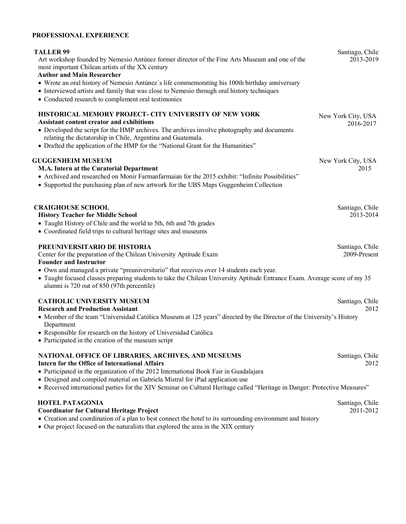## **PROFESSIONAL EXPERIENCE**

| <b>TALLER 99</b><br>Art workshop founded by Nemesio Antúnez former director of the Fine Arts Museum and one of the<br>most important Chilean artists of the XX century<br><b>Author and Main Researcher</b><br>• Wrote an oral history of Nemesio Antúnez's life commemorating his 100th birthday anniversary<br>• Interviewed artists and family that was close to Nemesio through oral history techniques<br>• Conducted research to complement oral testimonies | Santiago, Chile<br>2013-2019    |
|--------------------------------------------------------------------------------------------------------------------------------------------------------------------------------------------------------------------------------------------------------------------------------------------------------------------------------------------------------------------------------------------------------------------------------------------------------------------|---------------------------------|
| <b>HISTORICAL MEMORY PROJECT- CITY UNIVERSITY OF NEW YORK</b><br><b>Assistant content creator and exhibitions</b><br>• Developed the script for the HMP archives. The archives involve photography and documents<br>relating the dictatorship in Chile, Argentina and Guatemala.<br>• Drafted the application of the HMP for the "National Grant for the Humanities"                                                                                               | New York City, USA<br>2016-2017 |
| <b>GUGGENHEIM MUSEUM</b><br>M.A. Intern at the Curatorial Department<br>• Archived and researched on Monir Farmanfarmaian for the 2015 exhibit: "Infinite Possibilities"<br>• Supported the purchasing plan of new artwork for the UBS Maps Guggenheim Collection                                                                                                                                                                                                  | New York City, USA<br>2015      |
| <b>CRAIGHOUSE SCHOOL</b><br><b>History Teacher for Middle School</b><br>• Taught History of Chile and the world to 5th, 6th and 7th grades<br>• Coordinated field trips to cultural heritage sites and museums                                                                                                                                                                                                                                                     | Santiago, Chile<br>2013-2014    |
| PREUNIVERSITARIO DE HISTORIA<br>Center for the preparation of the Chilean University Aptitude Exam<br><b>Founder and Instructor</b><br>• Own and managed a private "preuniversitario" that receives over 14 students each year.<br>• Taught focused classes preparing students to take the Chilean University Aptitude Entrance Exam. Average score of my 35<br>alumni is 720 out of 850 (97th percentile)                                                         | Santiago, Chile<br>2009-Present |
| <b>CATHOLIC UNIVERSITY MUSEUM</b><br><b>Research and Production Assistant</b><br>• Member of the team "Universidad Católica Museum at 125 years" directed by the Director of the University's History<br>Department<br>• Responsible for research on the history of Universidad Católica<br>• Participated in the creation of the museum script                                                                                                                    | Santiago, Chile<br>2012         |
| NATIONAL OFFICE OF LIBRARIES, ARCHIVES, AND MUSEUMS<br><b>Intern for the Office of International Affairs</b><br>• Participated in the organization of the 2012 International Book Fair in Guadalajara<br>• Designed and compiled material on Gabriela Mistral for iPad application use<br>• Received international parties for the XIV Seminar on Cultural Heritage called "Heritage in Danger: Protective Measures"                                               | Santiago, Chile<br>2012         |
| <b>HOTEL PATAGONIA</b><br><b>Coordinator for Cultural Heritage Project</b><br>• Creation and coordination of a plan to best connect the hotel to its surrounding environment and history<br>• Our project focused on the naturalists that explored the area in the XIX century                                                                                                                                                                                     | Santiago, Chile<br>2011-2012    |